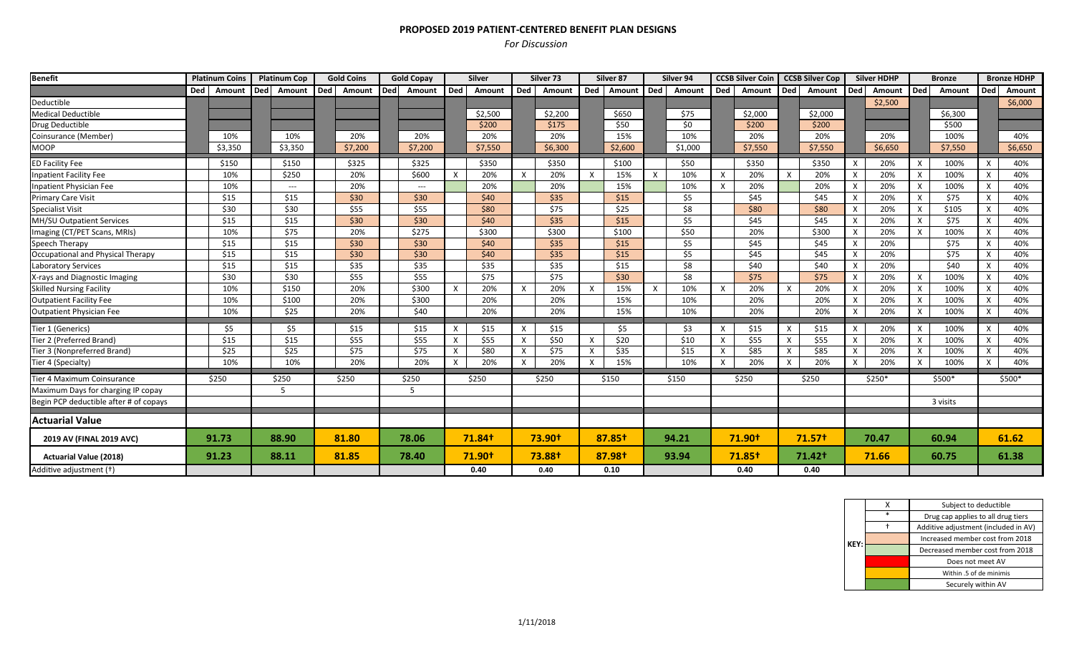## **PROPOSED 2019 PATIENT‐CENTERED BENEFIT PLAN DESIGNS**

## *For Discussion*

| <b>Benefit</b>                         | <b>Platinum Coins</b> |         | <b>Platinum Cop</b> |                     | <b>Gold Coins</b> |         | <b>Gold Copay</b> |                                          | <b>Silver</b> |         | Silver 73                 |               | Silver 87                 |            | Silver 94 |         | <b>CCSB Silver Coin</b> |                    | <b>CCSB Silver Cop</b> |                    |              | <b>Silver HDHP</b> |                           | <b>Bronze</b> |                           | <b>Bronze HDHP</b> |  |
|----------------------------------------|-----------------------|---------|---------------------|---------------------|-------------------|---------|-------------------|------------------------------------------|---------------|---------|---------------------------|---------------|---------------------------|------------|-----------|---------|-------------------------|--------------------|------------------------|--------------------|--------------|--------------------|---------------------------|---------------|---------------------------|--------------------|--|
|                                        | Ded                   | Amount  |                     | Ded Amount Ded      |                   | Amount  | <b>Ded</b>        | Amount                                   | Ded           | Amount  | Ded                       | Amount        | Ded                       | Amount Ded |           | Amount  | <b>Ded</b>              | Amount             |                        | Ded Amount         | Ded          | Amount             | Ded                       | Amount        | Ded                       | Amount             |  |
| Deductible                             |                       |         |                     |                     |                   |         |                   |                                          |               |         |                           |               |                           |            |           |         |                         |                    |                        |                    |              | \$2,500            |                           |               |                           | \$6,000            |  |
| <b>Medical Deductible</b>              |                       |         |                     |                     |                   |         |                   |                                          |               | \$2,500 |                           | \$2,200       |                           | \$650      |           | \$75    |                         | \$2,000            |                        | \$2,000            |              |                    |                           | \$6,300       |                           |                    |  |
| Drug Deductible                        |                       |         |                     |                     |                   |         |                   |                                          |               | \$200   |                           | \$175         |                           | \$50       |           | \$0     |                         | \$200              |                        | \$200              |              |                    |                           | \$500         |                           |                    |  |
| Coinsurance (Member)                   |                       | 10%     |                     | 10%                 |                   | 20%     |                   | 20%                                      |               | 20%     |                           | 20%           |                           | 15%        |           | 10%     |                         | 20%                |                        | 20%                |              | 20%                |                           | 100%          |                           | 40%                |  |
| <b>MOOP</b>                            |                       | \$3,350 |                     | \$3,350             |                   | \$7,200 |                   | \$7,200                                  |               | \$7,550 |                           | \$6,300       |                           | \$2,600    |           | \$1,000 |                         | \$7,550            |                        | \$7,550            |              | \$6,650            |                           | \$7,550       |                           | \$6,650            |  |
| <b>ED Facility Fee</b>                 |                       | \$150   |                     | \$150               |                   | \$325   |                   | \$325                                    |               | \$350   |                           | \$350         |                           | \$100      |           | \$50    |                         | \$350              |                        | \$350              | $\mathsf{x}$ | 20%                | $\boldsymbol{\mathsf{X}}$ | 100%          |                           | 40%                |  |
| <b>Inpatient Facility Fee</b>          |                       | 10%     |                     | \$250               |                   | 20%     |                   | \$600                                    | X             | 20%     | $\times$                  | 20%           | $\boldsymbol{\mathsf{X}}$ | 15%        | X         | 10%     | X                       | 20%                | X                      | 20%                |              | 20%                | X                         | 100%          | X                         | 40%                |  |
| Inpatient Physician Fee                |                       | 10%     |                     | $\qquad \qquad - -$ |                   | 20%     |                   | $\hspace{0.05cm} \ldots \hspace{0.05cm}$ |               | 20%     |                           | 20%           |                           | 15%        |           | 10%     | X                       | 20%                |                        | 20%                | X            | 20%                | X                         | 100%          | X                         | 40%                |  |
| <b>Primary Care Visit</b>              |                       | \$15    |                     | \$15                |                   | \$30    |                   | \$30                                     |               | \$40    |                           | \$35          |                           | \$15       |           | \$5     |                         | \$45               |                        | \$45               | X            | 20%                | $\boldsymbol{\mathsf{x}}$ | \$75          | $\boldsymbol{\mathsf{x}}$ | 40%                |  |
| <b>Specialist Visit</b>                |                       | \$30    |                     | \$30                |                   | \$55    |                   | \$55                                     |               | \$80    |                           | \$75          |                           | \$25       |           | \$8     |                         | \$80               |                        | \$80               | $\mathsf{x}$ | 20%                | $\times$                  | \$105         | $\mathsf{x}$              | 40%                |  |
| MH/SU Outpatient Services              |                       | \$15    |                     | \$15                |                   | \$30    |                   | \$30                                     |               | \$40    |                           | \$35          |                           | \$15       |           | \$5     |                         | \$45               |                        | \$45               |              | 20%                | $\boldsymbol{\mathsf{x}}$ | \$75          |                           | 40%                |  |
| Imaging (CT/PET Scans, MRIs)           |                       | 10%     |                     | \$75                |                   | 20%     |                   | \$275                                    |               | \$300   |                           | \$300         |                           | \$100      |           | \$50    |                         | 20%                |                        | \$300              |              | 20%                | $\times$                  | 100%          | X                         | 40%                |  |
| Speech Therapy                         |                       | \$15    |                     | \$15                |                   | \$30    |                   | \$30                                     |               | \$40    |                           | \$35          |                           | \$15       |           | \$5     |                         | \$45               |                        | \$45               | X            | 20%                |                           | \$75          |                           | 40%                |  |
| Occupational and Physical Therapy      |                       | \$15    |                     | \$15                |                   | \$30    |                   | \$30                                     |               | \$40    |                           | \$35          |                           | \$15       |           | \$5     |                         | \$45               |                        | \$45               |              | 20%                |                           | \$75          |                           | 40%                |  |
| <b>Laboratory Services</b>             |                       | \$15    |                     | \$15                |                   | \$35    |                   | \$35                                     |               | \$35    |                           | \$35          |                           | \$15       |           | \$8     |                         | \$40               |                        | \$40               | $\mathsf{x}$ | 20%                |                           | \$40          |                           | 40%                |  |
| X-rays and Diagnostic Imaging          |                       | \$30    |                     | \$30                |                   | \$55    |                   | \$55                                     |               | \$75    |                           | \$75          |                           | \$30       |           | \$8     |                         | \$75               |                        | \$75               | $\times$     | 20%                | X                         | 100%          | x                         | 40%                |  |
| <b>Skilled Nursing Facility</b>        |                       | 10%     |                     | \$150               |                   | 20%     |                   | \$300                                    | X             | 20%     | $\times$                  | 20%           | $\mathsf{X}$              | 15%        | X         | 10%     | $\times$                | 20%                | X                      | 20%                | X            | 20%                | X                         | 100%          | X                         | 40%                |  |
| <b>Outpatient Facility Fee</b>         |                       | 10%     |                     | \$100               |                   | 20%     |                   | \$300                                    |               | 20%     |                           | 20%           |                           | 15%        |           | 10%     |                         | 20%                |                        | 20%                | $\times$     | 20%                | $\boldsymbol{\mathsf{x}}$ | 100%          | X                         | 40%                |  |
| Outpatient Physician Fee               |                       | 10%     |                     | \$25                |                   | 20%     |                   | \$40                                     |               | 20%     |                           | 20%           |                           | 15%        |           | 10%     |                         | 20%                |                        | 20%                | $\mathsf{x}$ | 20%                | $\boldsymbol{\mathsf{x}}$ | 100%          | $\mathsf{x}$              | 40%                |  |
| Tier 1 (Generics)                      |                       | \$5     |                     | \$5                 |                   | \$15    |                   | \$15                                     | X             | \$15    | $\boldsymbol{\mathsf{X}}$ | \$15          |                           | \$5        |           | \$3     | X                       | \$15               | X                      | \$15               | $\mathsf{x}$ | 20%                | $\boldsymbol{\mathsf{x}}$ | 100%          | x                         | 40%                |  |
| Tier 2 (Preferred Brand)               |                       | \$15    |                     | \$15                |                   | \$55    |                   | \$55                                     | X             | \$55    | X                         | \$50          | $\mathsf{X}$              | \$20       |           | \$10    | X                       | \$55               | X                      | \$55               |              | 20%                | $\boldsymbol{\mathsf{x}}$ | 100%          | $\times$                  | 40%                |  |
| Tier 3 (Nonpreferred Brand)            |                       | \$25    |                     | \$25                |                   | \$75    |                   | \$75                                     | X             | \$80    | X                         | \$75          | $\boldsymbol{\mathsf{X}}$ | \$35       |           | \$15    | X                       | \$85               | X                      | \$85               | X            | 20%                | $\times$                  | 100%          | X                         | 40%                |  |
| Tier 4 (Specialty)                     |                       | 10%     |                     | 10%                 |                   | 20%     |                   | 20%                                      | X             | 20%     | $\boldsymbol{\mathsf{X}}$ | 20%           | X                         | 15%        |           | 10%     | x                       | 20%                | x                      | 20%                | X            | 20%                | X                         | 100%          | X                         | 40%                |  |
| Tier 4 Maximum Coinsurance             |                       | \$250   |                     | \$250               |                   | \$250   |                   | \$250                                    |               | \$250   |                           | \$250         |                           | \$150      |           | \$150   |                         | \$250              |                        | \$250              |              | $$250*$            |                           | \$500*        |                           | \$500*             |  |
| Maximum Days for charging IP copay     |                       |         |                     | -5                  |                   |         |                   | 5                                        |               |         |                           |               |                           |            |           |         |                         |                    |                        |                    |              |                    |                           |               |                           |                    |  |
| Begin PCP deductible after # of copays |                       |         |                     |                     |                   |         |                   |                                          |               |         |                           |               |                           |            |           |         |                         |                    |                        |                    |              |                    |                           | 3 visits      |                           |                    |  |
| Actuarial Value                        |                       |         |                     |                     |                   |         |                   |                                          |               |         |                           |               |                           |            |           |         |                         |                    |                        |                    |              |                    |                           |               |                           |                    |  |
| 2019 AV (FINAL 2019 AVC)               |                       | 91.73   |                     | 88.90               |                   | 81.80   |                   | 78.06                                    |               | 71.84†  |                           | <b>73.90t</b> |                           | 87.85+     |           | 94.21   |                         | 71.90 <sup>t</sup> |                        | 71.57 <sup>†</sup> |              | 70.47              |                           | 60.94         |                           | 61.62              |  |
| <b>Actuarial Value (2018)</b>          |                       | 91.23   |                     | 88.11               |                   | 81.85   |                   | 78.40                                    |               | 71.90+  |                           | 73.88+        |                           | 87.98+     |           | 93.94   |                         | 71.85†             |                        | 71.42 <sup>†</sup> |              | 71.66              |                           | 60.75         |                           | 61.38              |  |
| Additive adjustment (+)                |                       |         |                     |                     |                   |         |                   |                                          |               | 0.40    |                           | 0.40          |                           | 0.10       |           |         |                         | 0.40               |                        | 0.40               |              |                    |                           |               |                           |                    |  |

|      |   | Subject to deductible                                                                                                                                                |  |  |  |  |  |  |  |  |
|------|---|----------------------------------------------------------------------------------------------------------------------------------------------------------------------|--|--|--|--|--|--|--|--|
|      | × | Drug cap applies to all drug tiers<br>Additive adjustment (included in AV)<br>Increased member cost from 2018<br>Decreased member cost from 2018<br>Does not meet AV |  |  |  |  |  |  |  |  |
|      |   |                                                                                                                                                                      |  |  |  |  |  |  |  |  |
| KFY: |   |                                                                                                                                                                      |  |  |  |  |  |  |  |  |
|      |   |                                                                                                                                                                      |  |  |  |  |  |  |  |  |
|      |   |                                                                                                                                                                      |  |  |  |  |  |  |  |  |
|      |   | Within .5 of de minimis                                                                                                                                              |  |  |  |  |  |  |  |  |
|      |   | Securely within AV                                                                                                                                                   |  |  |  |  |  |  |  |  |